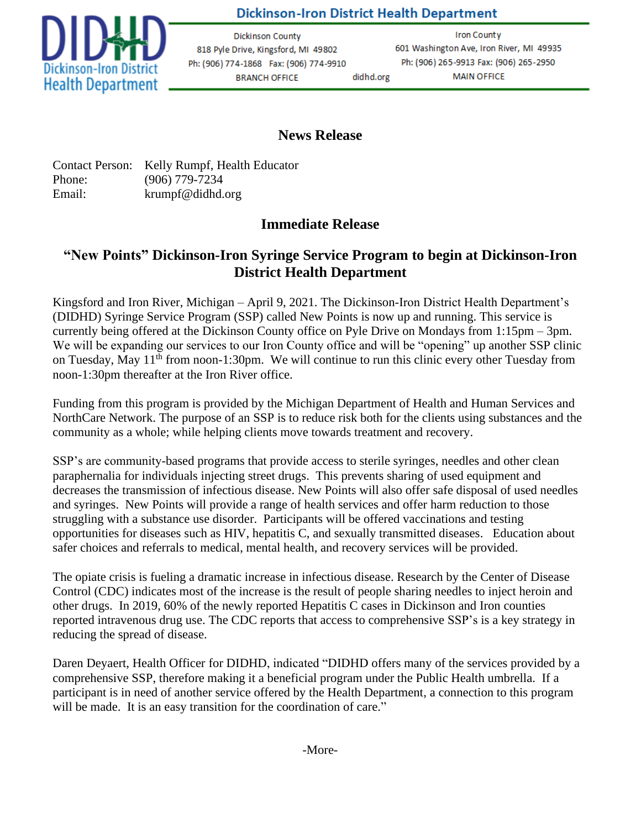

## **Dickinson-Iron District Health Department**

**Dickinson County** 818 Pyle Drive, Kingsford, MI 49802 Ph: (906) 774-1868 Fax: (906) 774-9910 **BRANCH OFFICE** 

didhd.org

**Iron County** 601 Washington Ave, Iron River, MI 49935 Ph: (906) 265-9913 Fax: (906) 265-2950 **MAIN OFFICE** 

## **News Release**

Contact Person: Kelly Rumpf, Health Educator Phone: (906) 779-7234 Email: [krumpf@didhd.org](about:blank)

## **Immediate Release**

## **"New Points" Dickinson-Iron Syringe Service Program to begin at Dickinson-Iron District Health Department**

Kingsford and Iron River, Michigan – April 9, 2021. The Dickinson-Iron District Health Department's (DIDHD) Syringe Service Program (SSP) called New Points is now up and running. This service is currently being offered at the Dickinson County office on Pyle Drive on Mondays from 1:15pm – 3pm. We will be expanding our services to our Iron County office and will be "opening" up another SSP clinic on Tuesday, May 11<sup>th</sup> from noon-1:30pm. We will continue to run this clinic every other Tuesday from noon-1:30pm thereafter at the Iron River office.

Funding from this program is provided by the Michigan Department of Health and Human Services and NorthCare Network. The purpose of an SSP is to reduce risk both for the clients using substances and the community as a whole; while helping clients move towards treatment and recovery.

SSP's are community-based programs that provide access to sterile syringes, needles and other clean paraphernalia for individuals injecting street drugs. This prevents sharing of used equipment and decreases the transmission of infectious disease. New Points will also offer safe disposal of used needles and syringes. New Points will provide a range of health services and offer harm reduction to those struggling with a substance use disorder. Participants will be offered vaccinations and testing opportunities for diseases such as HIV, hepatitis C, and sexually transmitted diseases. Education about safer choices and referrals to medical, mental health, and recovery services will be provided.

The opiate crisis is fueling a dramatic increase in infectious disease. Research by the Center of Disease Control (CDC) indicates most of the increase is the result of people sharing needles to inject heroin and other drugs. In 2019, 60% of the newly reported Hepatitis C cases in Dickinson and Iron counties reported intravenous drug use. The CDC reports that access to comprehensive SSP's is a key strategy in reducing the spread of disease.

Daren Deyaert, Health Officer for DIDHD, indicated "DIDHD offers many of the services provided by a comprehensive SSP, therefore making it a beneficial program under the Public Health umbrella. If a participant is in need of another service offered by the Health Department, a connection to this program will be made. It is an easy transition for the coordination of care."